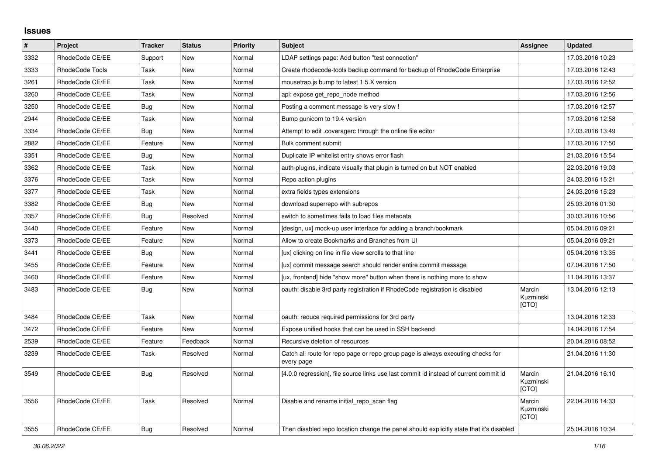## **Issues**

| $\pmb{\#}$ | Project         | <b>Tracker</b> | <b>Status</b> | <b>Priority</b> | <b>Subject</b>                                                                                | Assignee                     | <b>Updated</b>   |
|------------|-----------------|----------------|---------------|-----------------|-----------------------------------------------------------------------------------------------|------------------------------|------------------|
| 3332       | RhodeCode CE/EE | Support        | New           | Normal          | LDAP settings page: Add button "test connection"                                              |                              | 17.03.2016 10:23 |
| 3333       | RhodeCode Tools | Task           | <b>New</b>    | Normal          | Create rhodecode-tools backup command for backup of RhodeCode Enterprise                      |                              | 17.03.2016 12:43 |
| 3261       | RhodeCode CE/EE | Task           | New           | Normal          | mousetrap.js bump to latest 1.5.X version                                                     |                              | 17.03.2016 12:52 |
| 3260       | RhodeCode CE/EE | Task           | <b>New</b>    | Normal          | api: expose get repo node method                                                              |                              | 17.03.2016 12:56 |
| 3250       | RhodeCode CE/EE | Bug            | New           | Normal          | Posting a comment message is very slow !                                                      |                              | 17.03.2016 12:57 |
| 2944       | RhodeCode CE/EE | Task           | New           | Normal          | Bump gunicorn to 19.4 version                                                                 |                              | 17.03.2016 12:58 |
| 3334       | RhodeCode CE/EE | Bug            | <b>New</b>    | Normal          | Attempt to edit .coveragerc through the online file editor                                    |                              | 17.03.2016 13:49 |
| 2882       | RhodeCode CE/EE | Feature        | <b>New</b>    | Normal          | <b>Bulk comment submit</b>                                                                    |                              | 17.03.2016 17:50 |
| 3351       | RhodeCode CE/EE | <b>Bug</b>     | New           | Normal          | Duplicate IP whitelist entry shows error flash                                                |                              | 21.03.2016 15:54 |
| 3362       | RhodeCode CE/EE | Task           | New           | Normal          | auth-plugins, indicate visually that plugin is turned on but NOT enabled                      |                              | 22.03.2016 19:03 |
| 3376       | RhodeCode CE/EE | Task           | New           | Normal          | Repo action plugins                                                                           |                              | 24.03.2016 15:21 |
| 3377       | RhodeCode CE/EE | Task           | <b>New</b>    | Normal          | extra fields types extensions                                                                 |                              | 24.03.2016 15:23 |
| 3382       | RhodeCode CE/EE | Bug            | New           | Normal          | download superrepo with subrepos                                                              |                              | 25.03.2016 01:30 |
| 3357       | RhodeCode CE/EE | <b>Bug</b>     | Resolved      | Normal          | switch to sometimes fails to load files metadata                                              |                              | 30.03.2016 10:56 |
| 3440       | RhodeCode CE/EE | Feature        | <b>New</b>    | Normal          | [design, ux] mock-up user interface for adding a branch/bookmark                              |                              | 05.04.2016 09:21 |
| 3373       | RhodeCode CE/EE | Feature        | <b>New</b>    | Normal          | Allow to create Bookmarks and Branches from UI                                                |                              | 05.04.2016 09:21 |
| 3441       | RhodeCode CE/EE | <b>Bug</b>     | New           | Normal          | [ux] clicking on line in file view scrolls to that line                                       |                              | 05.04.2016 13:35 |
| 3455       | RhodeCode CE/EE | Feature        | <b>New</b>    | Normal          | [ux] commit message search should render entire commit message                                |                              | 07.04.2016 17:50 |
| 3460       | RhodeCode CE/EE | Feature        | New           | Normal          | [ux, frontend] hide "show more" button when there is nothing more to show                     |                              | 11.04.2016 13:37 |
| 3483       | RhodeCode CE/EE | Bug            | New           | Normal          | oauth: disable 3rd party registration if RhodeCode registration is disabled                   | Marcin<br>Kuzminski<br>[CTO] | 13.04.2016 12:13 |
| 3484       | RhodeCode CE/EE | Task           | New           | Normal          | oauth: reduce required permissions for 3rd party                                              |                              | 13.04.2016 12:33 |
| 3472       | RhodeCode CE/EE | Feature        | New           | Normal          | Expose unified hooks that can be used in SSH backend                                          |                              | 14.04.2016 17:54 |
| 2539       | RhodeCode CE/EE | Feature        | Feedback      | Normal          | Recursive deletion of resources                                                               |                              | 20.04.2016 08:52 |
| 3239       | RhodeCode CE/EE | Task           | Resolved      | Normal          | Catch all route for repo page or repo group page is always executing checks for<br>every page |                              | 21.04.2016 11:30 |
| 3549       | RhodeCode CE/EE | Bug            | Resolved      | Normal          | [4.0.0 regression], file source links use last commit id instead of current commit id         | Marcin<br>Kuzminski<br>[CTO] | 21.04.2016 16:10 |
| 3556       | RhodeCode CE/EE | Task           | Resolved      | Normal          | Disable and rename initial repo scan flag                                                     | Marcin<br>Kuzminski<br>[CTO] | 22.04.2016 14:33 |
| 3555       | RhodeCode CE/EE | Bug            | Resolved      | Normal          | Then disabled repo location change the panel should explicitly state that it's disabled       |                              | 25.04.2016 10:34 |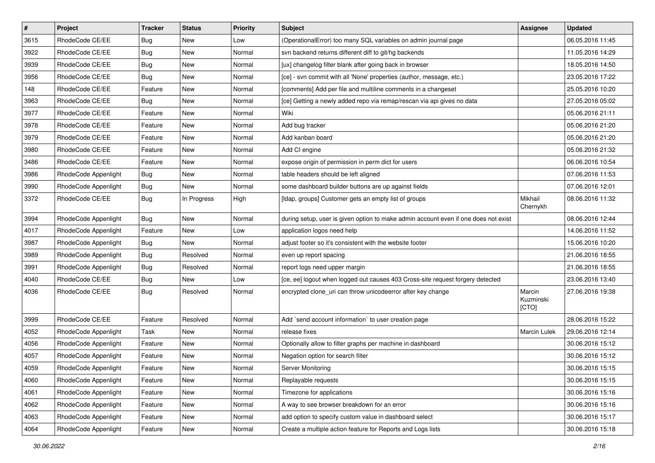| $\pmb{\#}$ | Project              | <b>Tracker</b> | <b>Status</b> | Priority | <b>Subject</b>                                                                      | <b>Assignee</b>              | <b>Updated</b>   |
|------------|----------------------|----------------|---------------|----------|-------------------------------------------------------------------------------------|------------------------------|------------------|
| 3615       | RhodeCode CE/EE      | Bug            | New           | Low      | (OperationalError) too many SQL variables on admin journal page                     |                              | 06.05.2016 11:45 |
| 3922       | RhodeCode CE/EE      | <b>Bug</b>     | New           | Normal   | svn backend returns different diff to git/hg backends                               |                              | 11.05.2016 14:29 |
| 3939       | RhodeCode CE/EE      | <b>Bug</b>     | New           | Normal   | [ux] changelog filter blank after going back in browser                             |                              | 18.05.2016 14:50 |
| 3956       | RhodeCode CE/EE      | Bug            | New           | Normal   | [ce] - svn commit with all 'None' properties (author, message, etc.)                |                              | 23.05.2016 17:22 |
| 148        | RhodeCode CE/EE      | Feature        | New           | Normal   | [comments] Add per file and multiline comments in a changeset                       |                              | 25.05.2016 10:20 |
| 3963       | RhodeCode CE/EE      | <b>Bug</b>     | New           | Normal   | [ce] Getting a newly added repo via remap/rescan via api gives no data              |                              | 27.05.2016 05:02 |
| 3977       | RhodeCode CE/EE      | Feature        | New           | Normal   | Wiki                                                                                |                              | 05.06.2016 21:11 |
| 3978       | RhodeCode CE/EE      | Feature        | New           | Normal   | Add bug tracker                                                                     |                              | 05.06.2016 21:20 |
| 3979       | RhodeCode CE/EE      | Feature        | New           | Normal   | Add kanban board                                                                    |                              | 05.06.2016 21:20 |
| 3980       | RhodeCode CE/EE      | Feature        | New           | Normal   | Add CI engine                                                                       |                              | 05.06.2016 21:32 |
| 3486       | RhodeCode CE/EE      | Feature        | New           | Normal   | expose origin of permission in perm dict for users                                  |                              | 06.06.2016 10:54 |
| 3986       | RhodeCode Appenlight | Bug            | New           | Normal   | table headers should be left aligned                                                |                              | 07.06.2016 11:53 |
| 3990       | RhodeCode Appenlight | Bug            | <b>New</b>    | Normal   | some dashboard builder buttons are up against fields                                |                              | 07.06.2016 12:01 |
| 3372       | RhodeCode CE/EE      | Bug            | In Progress   | High     | [Idap, groups] Customer gets an empty list of groups                                | Mikhail<br>Chernykh          | 08.06.2016 11:32 |
| 3994       | RhodeCode Appenlight | Bug            | <b>New</b>    | Normal   | during setup, user is given option to make admin account even if one does not exist |                              | 08.06.2016 12:44 |
| 4017       | RhodeCode Appenlight | Feature        | New           | Low      | application logos need help                                                         |                              | 14.06.2016 11:52 |
| 3987       | RhodeCode Appenlight | Bug            | <b>New</b>    | Normal   | adjust footer so it's consistent with the website footer                            |                              | 15.06.2016 10:20 |
| 3989       | RhodeCode Appenlight | Bug            | Resolved      | Normal   | even up report spacing                                                              |                              | 21.06.2016 18:55 |
| 3991       | RhodeCode Appenlight | Bug            | Resolved      | Normal   | report logs need upper margin                                                       |                              | 21.06.2016 18:55 |
| 4040       | RhodeCode CE/EE      | Bug            | New           | Low      | [ce, ee] logout when logged out causes 403 Cross-site request forgery detected      |                              | 23.06.2016 13:40 |
| 4036       | RhodeCode CE/EE      | Bug            | Resolved      | Normal   | encrypted clone_uri can throw unicodeerror after key change                         | Marcin<br>Kuzminski<br>[CTO] | 27.06.2016 19:38 |
| 3999       | RhodeCode CE/EE      | Feature        | Resolved      | Normal   | Add `send account information` to user creation page                                |                              | 28.06.2016 15:22 |
| 4052       | RhodeCode Appenlight | Task           | New           | Normal   | release fixes                                                                       | Marcin Lulek                 | 29.06.2016 12:14 |
| 4056       | RhodeCode Appenlight | Feature        | New           | Normal   | Optionally allow to filter graphs per machine in dashboard                          |                              | 30.06.2016 15:12 |
| 4057       | RhodeCode Appenlight | Feature        | New           | Normal   | Negation option for search filter                                                   |                              | 30.06.2016 15:12 |
| 4059       | RhodeCode Appenlight | Feature        | New           | Normal   | Server Monitoring                                                                   |                              | 30.06.2016 15:15 |
| 4060       | RhodeCode Appenlight | Feature        | New           | Normal   | Replayable requests                                                                 |                              | 30.06.2016 15:15 |
| 4061       | RhodeCode Appenlight | Feature        | New           | Normal   | Timezone for applications                                                           |                              | 30.06.2016 15:16 |
| 4062       | RhodeCode Appenlight | Feature        | New           | Normal   | A way to see browser breakdown for an error                                         |                              | 30.06.2016 15:16 |
| 4063       | RhodeCode Appenlight | Feature        | New           | Normal   | add option to specify custom value in dashboard select                              |                              | 30.06.2016 15:17 |
| 4064       | RhodeCode Appenlight | Feature        | New           | Normal   | Create a multiple action feature for Reports and Logs lists                         |                              | 30.06.2016 15:18 |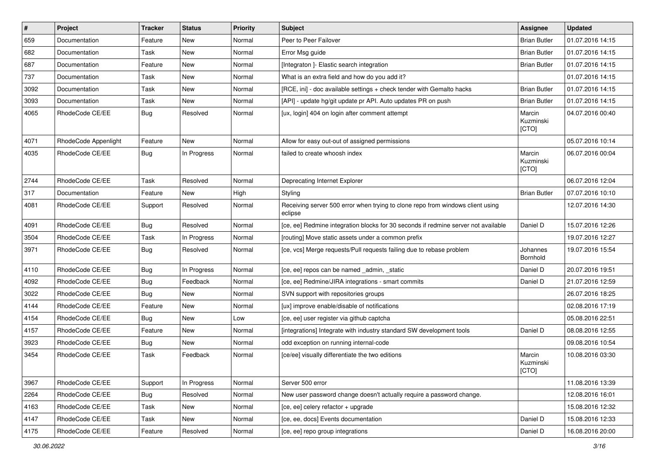| $\pmb{\#}$ | Project              | <b>Tracker</b> | <b>Status</b> | <b>Priority</b> | <b>Subject</b>                                                                            | Assignee                     | <b>Updated</b>   |
|------------|----------------------|----------------|---------------|-----------------|-------------------------------------------------------------------------------------------|------------------------------|------------------|
| 659        | Documentation        | Feature        | New           | Normal          | Peer to Peer Failover                                                                     | <b>Brian Butler</b>          | 01.07.2016 14:15 |
| 682        | Documentation        | Task           | <b>New</b>    | Normal          | Error Msg guide                                                                           | <b>Brian Butler</b>          | 01.07.2016 14:15 |
| 687        | Documentation        | Feature        | New           | Normal          | [Integraton ]- Elastic search integration                                                 | <b>Brian Butler</b>          | 01.07.2016 14:15 |
| 737        | Documentation        | Task           | New           | Normal          | What is an extra field and how do you add it?                                             |                              | 01.07.2016 14:15 |
| 3092       | Documentation        | Task           | New           | Normal          | [RCE, ini] - doc available settings + check tender with Gemalto hacks                     | <b>Brian Butler</b>          | 01.07.2016 14:15 |
| 3093       | Documentation        | Task           | New           | Normal          | [API] - update hg/git update pr API. Auto updates PR on push                              | <b>Brian Butler</b>          | 01.07.2016 14:15 |
| 4065       | RhodeCode CE/EE      | Bug            | Resolved      | Normal          | [ux, login] 404 on login after comment attempt                                            | Marcin<br>Kuzminski<br>[CTO] | 04.07.2016 00:40 |
| 4071       | RhodeCode Appenlight | Feature        | <b>New</b>    | Normal          | Allow for easy out-out of assigned permissions                                            |                              | 05.07.2016 10:14 |
| 4035       | RhodeCode CE/EE      | Bug            | In Progress   | Normal          | failed to create whoosh index                                                             | Marcin<br>Kuzminski<br>[CTO] | 06.07.2016 00:04 |
| 2744       | RhodeCode CE/EE      | Task           | Resolved      | Normal          | Deprecating Internet Explorer                                                             |                              | 06.07.2016 12:04 |
| 317        | Documentation        | Feature        | New           | High            | Styling                                                                                   | <b>Brian Butler</b>          | 07.07.2016 10:10 |
| 4081       | RhodeCode CE/EE      | Support        | Resolved      | Normal          | Receiving server 500 error when trying to clone repo from windows client using<br>eclipse |                              | 12.07.2016 14:30 |
| 4091       | RhodeCode CE/EE      | Bug            | Resolved      | Normal          | [ce, ee] Redmine integration blocks for 30 seconds if redmine server not available        | Daniel D                     | 15.07.2016 12:26 |
| 3504       | RhodeCode CE/EE      | Task           | In Progress   | Normal          | [routing] Move static assets under a common prefix                                        |                              | 19.07.2016 12:27 |
| 3971       | RhodeCode CE/EE      | Bug            | Resolved      | Normal          | [ce, vcs] Merge requests/Pull requests failing due to rebase problem                      | Johannes<br>Bornhold         | 19.07.2016 15:54 |
| 4110       | RhodeCode CE/EE      | Bug            | In Progress   | Normal          | [ce, ee] repos can be named _admin, _static                                               | Daniel D                     | 20.07.2016 19:51 |
| 4092       | RhodeCode CE/EE      | Bug            | Feedback      | Normal          | [ce, ee] Redmine/JIRA integrations - smart commits                                        | Daniel D                     | 21.07.2016 12:59 |
| 3022       | RhodeCode CE/EE      | Bug            | <b>New</b>    | Normal          | SVN support with repositories groups                                                      |                              | 26.07.2016 18:25 |
| 4144       | RhodeCode CE/EE      | Feature        | New           | Normal          | [ux] improve enable/disable of notifications                                              |                              | 02.08.2016 17:19 |
| 4154       | RhodeCode CE/EE      | Bug            | <b>New</b>    | Low             | [ce, ee] user register via github captcha                                                 |                              | 05.08.2016 22:51 |
| 4157       | RhodeCode CE/EE      | Feature        | New           | Normal          | [integrations] Integrate with industry standard SW development tools                      | Daniel D                     | 08.08.2016 12:55 |
| 3923       | RhodeCode CE/EE      | Bug            | New           | Normal          | odd exception on running internal-code                                                    |                              | 09.08.2016 10:54 |
| 3454       | RhodeCode CE/EE      | Task           | Feedback      | Normal          | [ce/ee] visually differentiate the two editions                                           | Marcin<br>Kuzminski<br>[CTO] | 10.08.2016 03:30 |
| 3967       | RhodeCode CE/EE      | Support        | In Progress   | Normal          | Server 500 error                                                                          |                              | 11.08.2016 13:39 |
| 2264       | RhodeCode CE/EE      | Bug            | Resolved      | Normal          | New user password change doesn't actually require a password change.                      |                              | 12.08.2016 16:01 |
| 4163       | RhodeCode CE/EE      | Task           | New           | Normal          | [ce, ee] celery refactor + upgrade                                                        |                              | 15.08.2016 12:32 |
| 4147       | RhodeCode CE/EE      | Task           | New           | Normal          | [ce, ee, docs] Events documentation                                                       | Daniel D                     | 15.08.2016 12:33 |
| 4175       | RhodeCode CE/EE      | Feature        | Resolved      | Normal          | [ce, ee] repo group integrations                                                          | Daniel D                     | 16.08.2016 20:00 |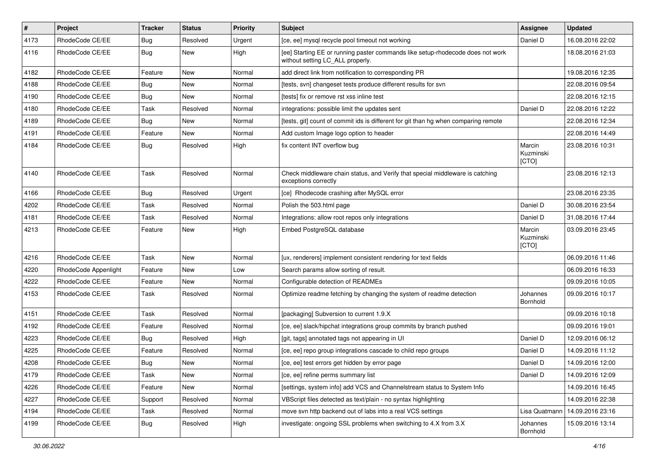| $\vert$ # | Project              | <b>Tracker</b> | <b>Status</b> | Priority | <b>Subject</b>                                                                                                     | <b>Assignee</b>              | <b>Updated</b>   |
|-----------|----------------------|----------------|---------------|----------|--------------------------------------------------------------------------------------------------------------------|------------------------------|------------------|
| 4173      | RhodeCode CE/EE      | <b>Bug</b>     | Resolved      | Urgent   | [ce, ee] mysql recycle pool timeout not working                                                                    | Daniel D                     | 16.08.2016 22:02 |
| 4116      | RhodeCode CE/EE      | Bug            | <b>New</b>    | High     | [ee] Starting EE or running paster commands like setup-rhodecode does not work<br>without setting LC_ALL properly. |                              | 18.08.2016 21:03 |
| 4182      | RhodeCode CE/EE      | Feature        | <b>New</b>    | Normal   | add direct link from notification to corresponding PR                                                              |                              | 19.08.2016 12:35 |
| 4188      | RhodeCode CE/EE      | <b>Bug</b>     | <b>New</b>    | Normal   | [tests, svn] changeset tests produce different results for svn                                                     |                              | 22.08.2016 09:54 |
| 4190      | RhodeCode CE/EE      | Bug            | New           | Normal   | [tests] fix or remove rst xss inline test                                                                          |                              | 22.08.2016 12:15 |
| 4180      | RhodeCode CE/EE      | Task           | Resolved      | Normal   | integrations: possible limit the updates sent                                                                      | Daniel D                     | 22.08.2016 12:22 |
| 4189      | RhodeCode CE/EE      | Bug            | <b>New</b>    | Normal   | [tests, git] count of commit ids is different for git than hg when comparing remote                                |                              | 22.08.2016 12:34 |
| 4191      | RhodeCode CE/EE      | Feature        | New           | Normal   | Add custom Image logo option to header                                                                             |                              | 22.08.2016 14:49 |
| 4184      | RhodeCode CE/EE      | Bug            | Resolved      | High     | fix content INT overflow bug                                                                                       | Marcin<br>Kuzminski<br>[CTO] | 23.08.2016 10:31 |
| 4140      | RhodeCode CE/EE      | Task           | Resolved      | Normal   | Check middleware chain status, and Verify that special middleware is catching<br>exceptions correctly              |                              | 23.08.2016 12:13 |
| 4166      | RhodeCode CE/EE      | Bug            | Resolved      | Urgent   | [ce] Rhodecode crashing after MySQL error                                                                          |                              | 23.08.2016 23:35 |
| 4202      | RhodeCode CE/EE      | Task           | Resolved      | Normal   | Polish the 503.html page                                                                                           | Daniel D                     | 30.08.2016 23:54 |
| 4181      | RhodeCode CE/EE      | Task           | Resolved      | Normal   | Integrations: allow root repos only integrations                                                                   | Daniel D                     | 31.08.2016 17:44 |
| 4213      | RhodeCode CE/EE      | Feature        | <b>New</b>    | High     | Embed PostgreSQL database                                                                                          | Marcin<br>Kuzminski<br>[CTO] | 03.09.2016 23:45 |
| 4216      | RhodeCode CE/EE      | Task           | <b>New</b>    | Normal   | [ux, renderers] implement consistent rendering for text fields                                                     |                              | 06.09.2016 11:46 |
| 4220      | RhodeCode Appenlight | Feature        | New           | Low      | Search params allow sorting of result.                                                                             |                              | 06.09.2016 16:33 |
| 4222      | RhodeCode CE/EE      | Feature        | <b>New</b>    | Normal   | Configurable detection of READMEs                                                                                  |                              | 09.09.2016 10:05 |
| 4153      | RhodeCode CE/EE      | Task           | Resolved      | Normal   | Optimize readme fetching by changing the system of readme detection                                                | Johannes<br>Bornhold         | 09.09.2016 10:17 |
| 4151      | RhodeCode CE/EE      | Task           | Resolved      | Normal   | [packaging] Subversion to current 1.9.X                                                                            |                              | 09.09.2016 10:18 |
| 4192      | RhodeCode CE/EE      | Feature        | Resolved      | Normal   | [ce, ee] slack/hipchat integrations group commits by branch pushed                                                 |                              | 09.09.2016 19:01 |
| 4223      | RhodeCode CE/EE      | Bug            | Resolved      | High     | [git, tags] annotated tags not appearing in UI                                                                     | Daniel D                     | 12.09.2016 06:12 |
| 4225      | RhodeCode CE/EE      | Feature        | Resolved      | Normal   | [ce, ee] repo group integrations cascade to child repo groups                                                      | Daniel D                     | 14.09.2016 11:12 |
| 4208      | RhodeCode CE/EE      | Bug            | New           | Normal   | [ce, ee] test errors get hidden by error page                                                                      | Daniel D                     | 14.09.2016 12:00 |
| 4179      | RhodeCode CE/EE      | Task           | New           | Normal   | [ce, ee] refine perms summary list                                                                                 | Daniel D                     | 14.09.2016 12:09 |
| 4226      | RhodeCode CE/EE      | Feature        | New           | Normal   | [settings, system info] add VCS and Channelstream status to System Info                                            |                              | 14.09.2016 16:45 |
| 4227      | RhodeCode CE/EE      | Support        | Resolved      | Normal   | VBScript files detected as text/plain - no syntax highlighting                                                     |                              | 14.09.2016 22:38 |
| 4194      | RhodeCode CE/EE      | Task           | Resolved      | Normal   | move svn http backend out of labs into a real VCS settings                                                         | Lisa Quatmann                | 14.09.2016 23:16 |
| 4199      | RhodeCode CE/EE      | Bug            | Resolved      | High     | investigate: ongoing SSL problems when switching to 4.X from 3.X                                                   | Johannes<br>Bornhold         | 15.09.2016 13:14 |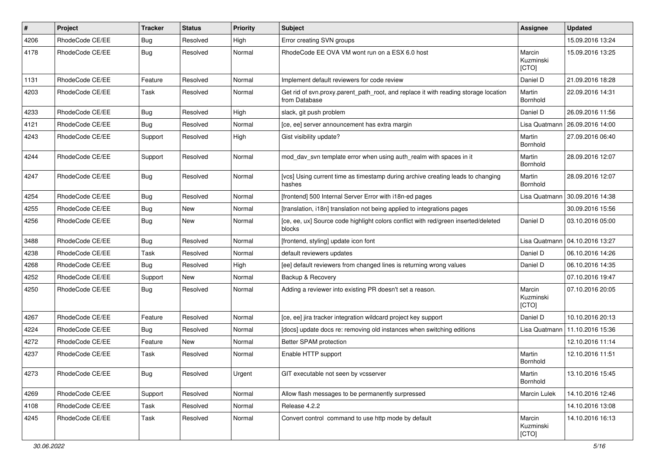| $\pmb{\#}$ | Project         | <b>Tracker</b> | <b>Status</b> | <b>Priority</b> | <b>Subject</b>                                                                                       | <b>Assignee</b>              | <b>Updated</b>   |
|------------|-----------------|----------------|---------------|-----------------|------------------------------------------------------------------------------------------------------|------------------------------|------------------|
| 4206       | RhodeCode CE/EE | Bug            | Resolved      | High            | Error creating SVN groups                                                                            |                              | 15.09.2016 13:24 |
| 4178       | RhodeCode CE/EE | Bug            | Resolved      | Normal          | RhodeCode EE OVA VM wont run on a ESX 6.0 host                                                       | Marcin<br>Kuzminski<br>[CTO] | 15.09.2016 13:25 |
| 1131       | RhodeCode CE/EE | Feature        | Resolved      | Normal          | Implement default reviewers for code review                                                          | Daniel D                     | 21.09.2016 18:28 |
| 4203       | RhodeCode CE/EE | Task           | Resolved      | Normal          | Get rid of svn.proxy.parent_path_root, and replace it with reading storage location<br>from Database | Martin<br>Bornhold           | 22.09.2016 14:31 |
| 4233       | RhodeCode CE/EE | Bug            | Resolved      | High            | slack, git push problem                                                                              | Daniel D                     | 26.09.2016 11:56 |
| 4121       | RhodeCode CE/EE | Bug            | Resolved      | Normal          | [ce, ee] server announcement has extra margin                                                        | Lisa Quatmann                | 26.09.2016 14:00 |
| 4243       | RhodeCode CE/EE | Support        | Resolved      | High            | Gist visibility update?                                                                              | Martin<br>Bornhold           | 27.09.2016 06:40 |
| 4244       | RhodeCode CE/EE | Support        | Resolved      | Normal          | mod_dav_svn template error when using auth_realm with spaces in it                                   | Martin<br><b>Bornhold</b>    | 28.09.2016 12:07 |
| 4247       | RhodeCode CE/EE | Bug            | Resolved      | Normal          | [vcs] Using current time as timestamp during archive creating leads to changing<br>hashes            | Martin<br><b>Bornhold</b>    | 28.09.2016 12:07 |
| 4254       | RhodeCode CE/EE | Bug            | Resolved      | Normal          | [frontend] 500 Internal Server Error with i18n-ed pages                                              | Lisa Quatmann                | 30.09.2016 14:38 |
| 4255       | RhodeCode CE/EE | Bug            | New           | Normal          | [translation, i18n] translation not being applied to integrations pages                              |                              | 30.09.2016 15:56 |
| 4256       | RhodeCode CE/EE | Bug            | New           | Normal          | [ce, ee, ux] Source code highlight colors conflict with red/green inserted/deleted<br>blocks         | Daniel D                     | 03.10.2016 05:00 |
| 3488       | RhodeCode CE/EE | Bug            | Resolved      | Normal          | [frontend, styling] update icon font                                                                 | Lisa Quatmann                | 04.10.2016 13:27 |
| 4238       | RhodeCode CE/EE | Task           | Resolved      | Normal          | default reviewers updates                                                                            | Daniel D                     | 06.10.2016 14:26 |
| 4268       | RhodeCode CE/EE | Bug            | Resolved      | High            | [ee] default reviewers from changed lines is returning wrong values                                  | Daniel D                     | 06.10.2016 14:35 |
| 4252       | RhodeCode CE/EE | Support        | New           | Normal          | Backup & Recovery                                                                                    |                              | 07.10.2016 19:47 |
| 4250       | RhodeCode CE/EE | Bug            | Resolved      | Normal          | Adding a reviewer into existing PR doesn't set a reason.                                             | Marcin<br>Kuzminski<br>[CTO] | 07.10.2016 20:05 |
| 4267       | RhodeCode CE/EE | Feature        | Resolved      | Normal          | [ce, ee] jira tracker integration wildcard project key support                                       | Daniel D                     | 10.10.2016 20:13 |
| 4224       | RhodeCode CE/EE | Bug            | Resolved      | Normal          | [docs] update docs re: removing old instances when switching editions                                | Lisa Quatmann                | 11.10.2016 15:36 |
| 4272       | RhodeCode CE/EE | Feature        | New           | Normal          | Better SPAM protection                                                                               |                              | 12.10.2016 11:14 |
| 4237       | RhodeCode CE/EE | Task           | Resolved      | Normal          | Enable HTTP support                                                                                  | Martin<br>Bornhold           | 12.10.2016 11:51 |
| 4273       | RhodeCode CE/EE | <b>Bug</b>     | Resolved      | Urgent          | GIT executable not seen by vcsserver                                                                 | Martin<br>Bornhold           | 13.10.2016 15:45 |
| 4269       | RhodeCode CE/EE | Support        | Resolved      | Normal          | Allow flash messages to be permanently surpressed                                                    | Marcin Lulek                 | 14.10.2016 12:46 |
| 4108       | RhodeCode CE/EE | Task           | Resolved      | Normal          | Release 4.2.2                                                                                        |                              | 14.10.2016 13:08 |
| 4245       | RhodeCode CE/EE | Task           | Resolved      | Normal          | Convert control command to use http mode by default                                                  | Marcin<br>Kuzminski<br>[CTO] | 14.10.2016 16:13 |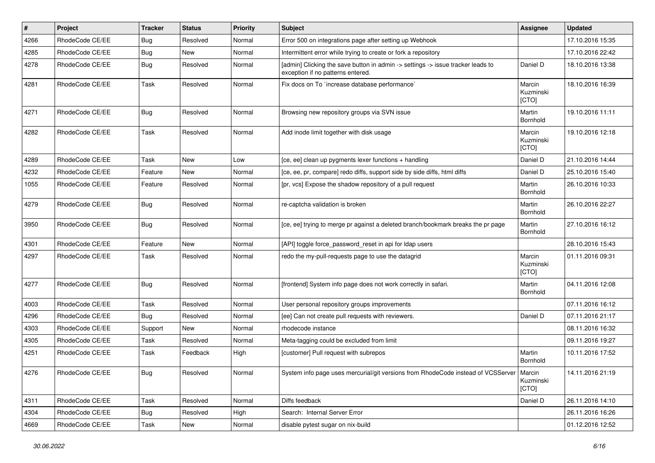| #    | Project         | <b>Tracker</b> | <b>Status</b> | <b>Priority</b> | Subject                                                                                                              | <b>Assignee</b>              | <b>Updated</b>   |
|------|-----------------|----------------|---------------|-----------------|----------------------------------------------------------------------------------------------------------------------|------------------------------|------------------|
| 4266 | RhodeCode CE/EE | Bug            | Resolved      | Normal          | Error 500 on integrations page after setting up Webhook                                                              |                              | 17.10.2016 15:35 |
| 4285 | RhodeCode CE/EE | Bug            | <b>New</b>    | Normal          | Intermittent error while trying to create or fork a repository                                                       |                              | 17.10.2016 22:42 |
| 4278 | RhodeCode CE/EE | Bug            | Resolved      | Normal          | [admin] Clicking the save button in admin -> settings -> issue tracker leads to<br>exception if no patterns entered. | Daniel D                     | 18.10.2016 13:38 |
| 4281 | RhodeCode CE/EE | Task           | Resolved      | Normal          | Fix docs on To `increase database performance`                                                                       | Marcin<br>Kuzminski<br>[CTO] | 18.10.2016 16:39 |
| 4271 | RhodeCode CE/EE | Bug            | Resolved      | Normal          | Browsing new repository groups via SVN issue                                                                         | Martin<br>Bornhold           | 19.10.2016 11:11 |
| 4282 | RhodeCode CE/EE | Task           | Resolved      | Normal          | Add inode limit together with disk usage                                                                             | Marcin<br>Kuzminski<br>[CTO] | 19.10.2016 12:18 |
| 4289 | RhodeCode CE/EE | Task           | <b>New</b>    | Low             | [ce, ee] clean up pygments lexer functions + handling                                                                | Daniel D                     | 21.10.2016 14:44 |
| 4232 | RhodeCode CE/EE | Feature        | New           | Normal          | [ce, ee, pr, compare] redo diffs, support side by side diffs, html diffs                                             | Daniel D                     | 25.10.2016 15:40 |
| 1055 | RhodeCode CE/EE | Feature        | Resolved      | Normal          | [pr, vcs] Expose the shadow repository of a pull request                                                             | Martin<br>Bornhold           | 26.10.2016 10:33 |
| 4279 | RhodeCode CE/EE | Bug            | Resolved      | Normal          | re-captcha validation is broken                                                                                      | Martin<br>Bornhold           | 26.10.2016 22:27 |
| 3950 | RhodeCode CE/EE | <b>Bug</b>     | Resolved      | Normal          | [ce, ee] trying to merge pr against a deleted branch/bookmark breaks the pr page                                     | Martin<br>Bornhold           | 27.10.2016 16:12 |
| 4301 | RhodeCode CE/EE | Feature        | <b>New</b>    | Normal          | [API] toggle force_password_reset in api for Idap users                                                              |                              | 28.10.2016 15:43 |
| 4297 | RhodeCode CE/EE | Task           | Resolved      | Normal          | redo the my-pull-requests page to use the datagrid                                                                   | Marcin<br>Kuzminski<br>[CTO] | 01.11.2016 09:31 |
| 4277 | RhodeCode CE/EE | Bug            | Resolved      | Normal          | [frontend] System info page does not work correctly in safari.                                                       | Martin<br>Bornhold           | 04.11.2016 12:08 |
| 4003 | RhodeCode CE/EE | Task           | Resolved      | Normal          | User personal repository groups improvements                                                                         |                              | 07.11.2016 16:12 |
| 4296 | RhodeCode CE/EE | Bug            | Resolved      | Normal          | [ee] Can not create pull requests with reviewers.                                                                    | Daniel D                     | 07.11.2016 21:17 |
| 4303 | RhodeCode CE/EE | Support        | <b>New</b>    | Normal          | rhodecode instance                                                                                                   |                              | 08.11.2016 16:32 |
| 4305 | RhodeCode CE/EE | Task           | Resolved      | Normal          | Meta-tagging could be excluded from limit                                                                            |                              | 09.11.2016 19:27 |
| 4251 | RhodeCode CE/EE | Task           | Feedback      | High            | [customer] Pull request with subrepos                                                                                | Martin<br>Bornhold           | 10.11.2016 17:52 |
| 4276 | RhodeCode CE/EE | Bug            | Resolved      | Normal          | System info page uses mercurial/git versions from RhodeCode instead of VCSServer   Marcin                            | Kuzminski<br>[CTO]           | 14.11.2016 21:19 |
| 4311 | RhodeCode CE/EE | Task           | Resolved      | Normal          | Diffs feedback                                                                                                       | Daniel D                     | 26.11.2016 14:10 |
| 4304 | RhodeCode CE/EE | <b>Bug</b>     | Resolved      | High            | Search: Internal Server Error                                                                                        |                              | 26.11.2016 16:26 |
| 4669 | RhodeCode CE/EE | Task           | New           | Normal          | disable pytest sugar on nix-build                                                                                    |                              | 01.12.2016 12:52 |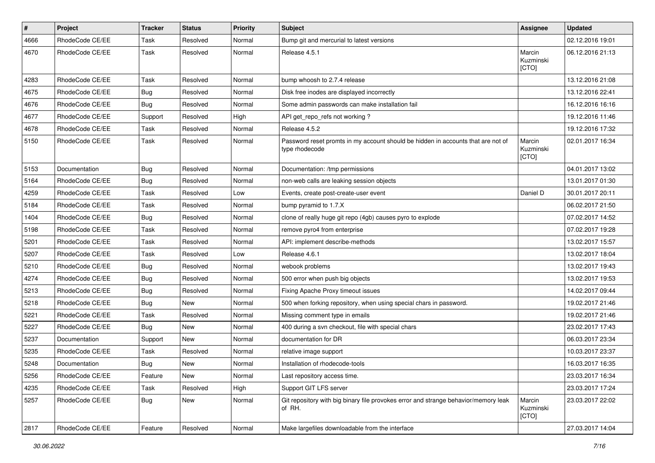| $\pmb{\#}$ | Project         | <b>Tracker</b> | <b>Status</b> | Priority | Subject                                                                                            | Assignee                     | <b>Updated</b>   |
|------------|-----------------|----------------|---------------|----------|----------------------------------------------------------------------------------------------------|------------------------------|------------------|
| 4666       | RhodeCode CE/EE | Task           | Resolved      | Normal   | Bump git and mercurial to latest versions                                                          |                              | 02.12.2016 19:01 |
| 4670       | RhodeCode CE/EE | Task           | Resolved      | Normal   | Release 4.5.1                                                                                      | Marcin<br>Kuzminski<br>[CTO] | 06.12.2016 21:13 |
| 4283       | RhodeCode CE/EE | Task           | Resolved      | Normal   | bump whoosh to 2.7.4 release                                                                       |                              | 13.12.2016 21:08 |
| 4675       | RhodeCode CE/EE | <b>Bug</b>     | Resolved      | Normal   | Disk free inodes are displayed incorrectly                                                         |                              | 13.12.2016 22:41 |
| 4676       | RhodeCode CE/EE | <b>Bug</b>     | Resolved      | Normal   | Some admin passwords can make installation fail                                                    |                              | 16.12.2016 16:16 |
| 4677       | RhodeCode CE/EE | Support        | Resolved      | High     | API get_repo_refs not working?                                                                     |                              | 19.12.2016 11:46 |
| 4678       | RhodeCode CE/EE | Task           | Resolved      | Normal   | Release 4.5.2                                                                                      |                              | 19.12.2016 17:32 |
| 5150       | RhodeCode CE/EE | Task           | Resolved      | Normal   | Password reset promts in my account should be hidden in accounts that are not of<br>type rhodecode | Marcin<br>Kuzminski<br>[CTO] | 02.01.2017 16:34 |
| 5153       | Documentation   | Bug            | Resolved      | Normal   | Documentation: /tmp permissions                                                                    |                              | 04.01.2017 13:02 |
| 5164       | RhodeCode CE/EE | <b>Bug</b>     | Resolved      | Normal   | non-web calls are leaking session objects                                                          |                              | 13.01.2017 01:30 |
| 4259       | RhodeCode CE/EE | Task           | Resolved      | Low      | Events, create post-create-user event                                                              | Daniel D                     | 30.01.2017 20:11 |
| 5184       | RhodeCode CE/EE | Task           | Resolved      | Normal   | bump pyramid to 1.7.X                                                                              |                              | 06.02.2017 21:50 |
| 1404       | RhodeCode CE/EE | Bug            | Resolved      | Normal   | clone of really huge git repo (4gb) causes pyro to explode                                         |                              | 07.02.2017 14:52 |
| 5198       | RhodeCode CE/EE | Task           | Resolved      | Normal   | remove pyro4 from enterprise                                                                       |                              | 07.02.2017 19:28 |
| 5201       | RhodeCode CE/EE | Task           | Resolved      | Normal   | API: implement describe-methods                                                                    |                              | 13.02.2017 15:57 |
| 5207       | RhodeCode CE/EE | Task           | Resolved      | Low      | Release 4.6.1                                                                                      |                              | 13.02.2017 18:04 |
| 5210       | RhodeCode CE/EE | Bug            | Resolved      | Normal   | webook problems                                                                                    |                              | 13.02.2017 19:43 |
| 4274       | RhodeCode CE/EE | <b>Bug</b>     | Resolved      | Normal   | 500 error when push big objects                                                                    |                              | 13.02.2017 19:53 |
| 5213       | RhodeCode CE/EE | Bug            | Resolved      | Normal   | Fixing Apache Proxy timeout issues                                                                 |                              | 14.02.2017 09:44 |
| 5218       | RhodeCode CE/EE | <b>Bug</b>     | New           | Normal   | 500 when forking repository, when using special chars in password.                                 |                              | 19.02.2017 21:46 |
| 5221       | RhodeCode CE/EE | Task           | Resolved      | Normal   | Missing comment type in emails                                                                     |                              | 19.02.2017 21:46 |
| 5227       | RhodeCode CE/EE | Bug            | New           | Normal   | 400 during a svn checkout, file with special chars                                                 |                              | 23.02.2017 17:43 |
| 5237       | Documentation   | Support        | <b>New</b>    | Normal   | documentation for DR                                                                               |                              | 06.03.2017 23:34 |
| 5235       | RhodeCode CE/EE | Task           | Resolved      | Normal   | relative image support                                                                             |                              | 10.03.2017 23:37 |
| 5248       | Documentation   | Bug            | New           | Normal   | Installation of rhodecode-tools                                                                    |                              | 16.03.2017 16:35 |
| 5256       | RhodeCode CE/EE | Feature        | New           | Normal   | Last repository access time.                                                                       |                              | 23.03.2017 16:34 |
| 4235       | RhodeCode CE/EE | Task           | Resolved      | High     | Support GIT LFS server                                                                             |                              | 23.03.2017 17:24 |
| 5257       | RhodeCode CE/EE | Bug            | New           | Normal   | Git repository with big binary file provokes error and strange behavior/memory leak<br>of RH.      | Marcin<br>Kuzminski<br>[CTO] | 23.03.2017 22:02 |
| 2817       | RhodeCode CE/EE | Feature        | Resolved      | Normal   | Make largefiles downloadable from the interface                                                    |                              | 27.03.2017 14:04 |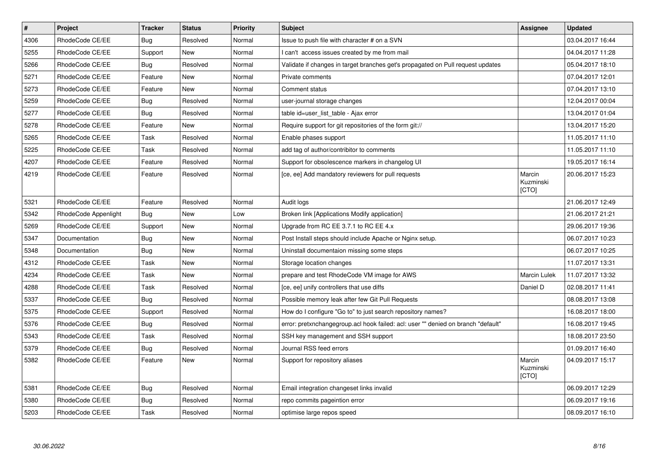| $\vert$ # | Project              | <b>Tracker</b> | <b>Status</b> | <b>Priority</b> | <b>Subject</b>                                                                    | Assignee                            | <b>Updated</b>   |
|-----------|----------------------|----------------|---------------|-----------------|-----------------------------------------------------------------------------------|-------------------------------------|------------------|
| 4306      | RhodeCode CE/EE      | Bug            | Resolved      | Normal          | Issue to push file with character # on a SVN                                      |                                     | 03.04.2017 16:44 |
| 5255      | RhodeCode CE/EE      | Support        | New           | Normal          | can't access issues created by me from mail                                       |                                     | 04.04.2017 11:28 |
| 5266      | RhodeCode CE/EE      | Bug            | Resolved      | Normal          | Validate if changes in target branches get's propagated on Pull request updates   |                                     | 05.04.2017 18:10 |
| 5271      | RhodeCode CE/EE      | Feature        | <b>New</b>    | Normal          | Private comments                                                                  |                                     | 07.04.2017 12:01 |
| 5273      | RhodeCode CE/EE      | Feature        | <b>New</b>    | Normal          | Comment status                                                                    |                                     | 07.04.2017 13:10 |
| 5259      | RhodeCode CE/EE      | Bug            | Resolved      | Normal          | user-journal storage changes                                                      |                                     | 12.04.2017 00:04 |
| 5277      | RhodeCode CE/EE      | Bug            | Resolved      | Normal          | table id=user list table - Ajax error                                             |                                     | 13.04.2017 01:04 |
| 5278      | RhodeCode CE/EE      | Feature        | <b>New</b>    | Normal          | Require support for git repositories of the form git://                           |                                     | 13.04.2017 15:20 |
| 5265      | RhodeCode CE/EE      | Task           | Resolved      | Normal          | Enable phases support                                                             |                                     | 11.05.2017 11:10 |
| 5225      | RhodeCode CE/EE      | Task           | Resolved      | Normal          | add tag of author/contribitor to comments                                         |                                     | 11.05.2017 11:10 |
| 4207      | RhodeCode CE/EE      | Feature        | Resolved      | Normal          | Support for obsolescence markers in changelog UI                                  |                                     | 19.05.2017 16:14 |
| 4219      | RhodeCode CE/EE      | Feature        | Resolved      | Normal          | [ce, ee] Add mandatory reviewers for pull requests                                | Marcin<br>Kuzminski<br>[CTO]        | 20.06.2017 15:23 |
| 5321      | RhodeCode CE/EE      | Feature        | Resolved      | Normal          | Audit logs                                                                        |                                     | 21.06.2017 12:49 |
| 5342      | RhodeCode Appenlight | Bug            | New           | Low             | Broken link [Applications Modify application]                                     |                                     | 21.06.2017 21:21 |
| 5269      | RhodeCode CE/EE      | Support        | New           | Normal          | Upgrade from RC EE 3.7.1 to RC EE 4. $x$                                          |                                     | 29.06.2017 19:36 |
| 5347      | Documentation        | Bug            | <b>New</b>    | Normal          | Post Install steps should include Apache or Nginx setup.                          |                                     | 06.07.2017 10:23 |
| 5348      | Documentation        | Bug            | <b>New</b>    | Normal          | Uninstall documentaion missing some steps                                         |                                     | 06.07.2017 10:25 |
| 4312      | RhodeCode CE/EE      | Task           | New           | Normal          | Storage location changes                                                          |                                     | 11.07.2017 13:31 |
| 4234      | RhodeCode CE/EE      | Task           | <b>New</b>    | Normal          | prepare and test RhodeCode VM image for AWS                                       | Marcin Lulek                        | 11.07.2017 13:32 |
| 4288      | RhodeCode CE/EE      | Task           | Resolved      | Normal          | [ce, ee] unify controllers that use diffs                                         | Daniel D                            | 02.08.2017 11:41 |
| 5337      | RhodeCode CE/EE      | Bug            | Resolved      | Normal          | Possible memory leak after few Git Pull Requests                                  |                                     | 08.08.2017 13:08 |
| 5375      | RhodeCode CE/EE      | Support        | Resolved      | Normal          | How do I configure "Go to" to just search repository names?                       |                                     | 16.08.2017 18:00 |
| 5376      | RhodeCode CE/EE      | Bug            | Resolved      | Normal          | error: pretxnchangegroup.acl hook failed: acl: user "" denied on branch "default" |                                     | 16.08.2017 19:45 |
| 5343      | RhodeCode CE/EE      | Task           | Resolved      | Normal          | SSH key management and SSH support                                                |                                     | 18.08.2017 23:50 |
| 5379      | RhodeCode CE/EE      | Bug            | Resolved      | Normal          | Journal RSS feed errors                                                           |                                     | 01.09.2017 16:40 |
| 5382      | RhodeCode CE/EE      | Feature        | <b>New</b>    | Normal          | Support for repository aliases                                                    | Marcin<br>Kuzminski<br><b>ICTOI</b> | 04.09.2017 15:17 |
| 5381      | RhodeCode CE/EE      | Bug            | Resolved      | Normal          | Email integration changeset links invalid                                         |                                     | 06.09.2017 12:29 |
| 5380      | RhodeCode CE/EE      | Bug            | Resolved      | Normal          | repo commits pageintion error                                                     |                                     | 06.09.2017 19:16 |
| 5203      | RhodeCode CE/EE      | Task           | Resolved      | Normal          | optimise large repos speed                                                        |                                     | 08.09.2017 16:10 |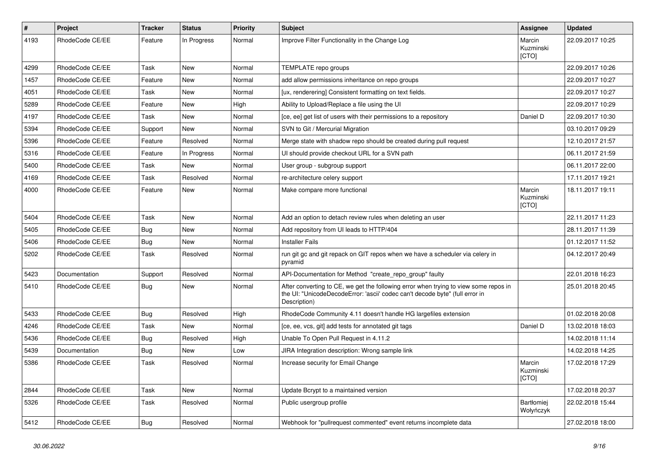| $\pmb{\#}$ | Project         | <b>Tracker</b> | <b>Status</b> | <b>Priority</b> | <b>Subject</b>                                                                                                                                                                       | Assignee                       | <b>Updated</b>   |
|------------|-----------------|----------------|---------------|-----------------|--------------------------------------------------------------------------------------------------------------------------------------------------------------------------------------|--------------------------------|------------------|
| 4193       | RhodeCode CE/EE | Feature        | In Progress   | Normal          | Improve Filter Functionality in the Change Log                                                                                                                                       | Marcin<br>Kuzminski<br>[CTO]   | 22.09.2017 10:25 |
| 4299       | RhodeCode CE/EE | Task           | New           | Normal          | TEMPLATE repo groups                                                                                                                                                                 |                                | 22.09.2017 10:26 |
| 1457       | RhodeCode CE/EE | Feature        | <b>New</b>    | Normal          | add allow permissions inheritance on repo groups                                                                                                                                     |                                | 22.09.2017 10:27 |
| 4051       | RhodeCode CE/EE | Task           | <b>New</b>    | Normal          | [ux, renderering] Consistent formatting on text fields.                                                                                                                              |                                | 22.09.2017 10:27 |
| 5289       | RhodeCode CE/EE | Feature        | New           | High            | Ability to Upload/Replace a file using the UI                                                                                                                                        |                                | 22.09.2017 10:29 |
| 4197       | RhodeCode CE/EE | Task           | <b>New</b>    | Normal          | [ce, ee] get list of users with their permissions to a repository                                                                                                                    | Daniel D                       | 22.09.2017 10:30 |
| 5394       | RhodeCode CE/EE | Support        | <b>New</b>    | Normal          | SVN to Git / Mercurial Migration                                                                                                                                                     |                                | 03.10.2017 09:29 |
| 5396       | RhodeCode CE/EE | Feature        | Resolved      | Normal          | Merge state with shadow repo should be created during pull request                                                                                                                   |                                | 12.10.2017 21:57 |
| 5316       | RhodeCode CE/EE | Feature        | In Progress   | Normal          | UI should provide checkout URL for a SVN path                                                                                                                                        |                                | 06.11.2017 21:59 |
| 5400       | RhodeCode CE/EE | Task           | <b>New</b>    | Normal          | User group - subgroup support                                                                                                                                                        |                                | 06.11.2017 22:00 |
| 4169       | RhodeCode CE/EE | Task           | Resolved      | Normal          | re-architecture celery support                                                                                                                                                       |                                | 17.11.2017 19:21 |
| 4000       | RhodeCode CE/EE | Feature        | <b>New</b>    | Normal          | Make compare more functional                                                                                                                                                         | Marcin<br>Kuzminski<br>[CTO]   | 18.11.2017 19:11 |
| 5404       | RhodeCode CE/EE | Task           | New           | Normal          | Add an option to detach review rules when deleting an user                                                                                                                           |                                | 22.11.2017 11:23 |
| 5405       | RhodeCode CE/EE | Bug            | New           | Normal          | Add repository from UI leads to HTTP/404                                                                                                                                             |                                | 28.11.2017 11:39 |
| 5406       | RhodeCode CE/EE | Bug            | New           | Normal          | <b>Installer Fails</b>                                                                                                                                                               |                                | 01.12.2017 11:52 |
| 5202       | RhodeCode CE/EE | Task           | Resolved      | Normal          | run git gc and git repack on GIT repos when we have a scheduler via celery in<br>pyramid                                                                                             |                                | 04.12.2017 20:49 |
| 5423       | Documentation   | Support        | Resolved      | Normal          | API-Documentation for Method "create repo group" faulty                                                                                                                              |                                | 22.01.2018 16:23 |
| 5410       | RhodeCode CE/EE | <b>Bug</b>     | <b>New</b>    | Normal          | After converting to CE, we get the following error when trying to view some repos in<br>the UI: "UnicodeDecodeError: 'ascii' codec can't decode byte" (full error in<br>Description) |                                | 25.01.2018 20:45 |
| 5433       | RhodeCode CE/EE | Bug            | Resolved      | High            | RhodeCode Community 4.11 doesn't handle HG largefiles extension                                                                                                                      |                                | 01.02.2018 20:08 |
| 4246       | RhodeCode CE/EE | Task           | New           | Normal          | [ce, ee, vcs, git] add tests for annotated git tags                                                                                                                                  | Daniel D                       | 13.02.2018 18:03 |
| 5436       | RhodeCode CE/EE | <b>Bug</b>     | Resolved      | High            | Unable To Open Pull Request in 4.11.2                                                                                                                                                |                                | 14.02.2018 11:14 |
| 5439       | Documentation   | Bug            | New           | Low             | JIRA Integration description: Wrong sample link                                                                                                                                      |                                | 14.02.2018 14:25 |
| 5386       | RhodeCode CE/EE | Task           | Resolved      | Normal          | Increase security for Email Change                                                                                                                                                   | Marcin<br>Kuzminski<br>[CTO]   | 17.02.2018 17:29 |
| 2844       | RhodeCode CE/EE | Task           | <b>New</b>    | Normal          | Update Bcrypt to a maintained version                                                                                                                                                |                                | 17.02.2018 20:37 |
| 5326       | RhodeCode CE/EE | Task           | Resolved      | Normal          | Public usergroup profile                                                                                                                                                             | <b>Bartłomiej</b><br>Wołyńczyk | 22.02.2018 15:44 |
| 5412       | RhodeCode CE/EE | <b>Bug</b>     | Resolved      | Normal          | Webhook for "pullrequest commented" event returns incomplete data                                                                                                                    |                                | 27.02.2018 18:00 |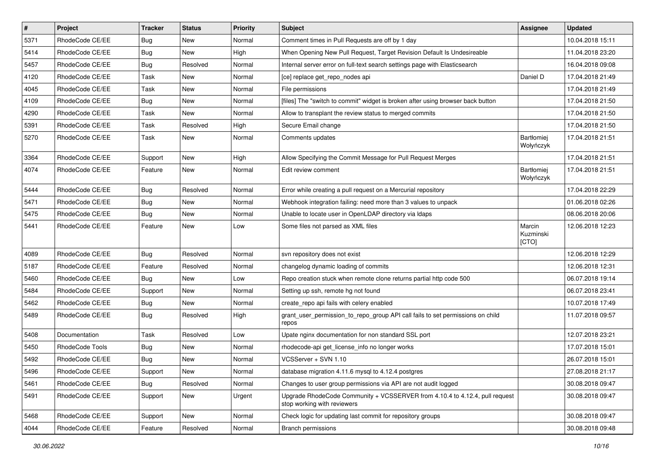| $\sharp$ | Project         | <b>Tracker</b> | <b>Status</b> | Priority | <b>Subject</b>                                                                                             | <b>Assignee</b>              | <b>Updated</b>   |
|----------|-----------------|----------------|---------------|----------|------------------------------------------------------------------------------------------------------------|------------------------------|------------------|
| 5371     | RhodeCode CE/EE | Bug            | New           | Normal   | Comment times in Pull Requests are off by 1 day                                                            |                              | 10.04.2018 15:11 |
| 5414     | RhodeCode CE/EE | Bug            | <b>New</b>    | High     | When Opening New Pull Request, Target Revision Default Is Undesireable                                     |                              | 11.04.2018 23:20 |
| 5457     | RhodeCode CE/EE | Bug            | Resolved      | Normal   | Internal server error on full-text search settings page with Elasticsearch                                 |                              | 16.04.2018 09:08 |
| 4120     | RhodeCode CE/EE | Task           | New           | Normal   | [ce] replace get_repo_nodes api                                                                            | Daniel D                     | 17.04.2018 21:49 |
| 4045     | RhodeCode CE/EE | Task           | <b>New</b>    | Normal   | File permissions                                                                                           |                              | 17.04.2018 21:49 |
| 4109     | RhodeCode CE/EE | Bug            | New           | Normal   | [files] The "switch to commit" widget is broken after using browser back button                            |                              | 17.04.2018 21:50 |
| 4290     | RhodeCode CE/EE | Task           | <b>New</b>    | Normal   | Allow to transplant the review status to merged commits                                                    |                              | 17.04.2018 21:50 |
| 5391     | RhodeCode CE/EE | Task           | Resolved      | High     | Secure Email change                                                                                        |                              | 17.04.2018 21:50 |
| 5270     | RhodeCode CE/EE | Task           | <b>New</b>    | Normal   | Comments updates                                                                                           | Bartłomiej<br>Wołyńczyk      | 17.04.2018 21:51 |
| 3364     | RhodeCode CE/EE | Support        | <b>New</b>    | High     | Allow Specifying the Commit Message for Pull Request Merges                                                |                              | 17.04.2018 21:51 |
| 4074     | RhodeCode CE/EE | Feature        | New           | Normal   | Edit review comment                                                                                        | Bartłomiej<br>Wołyńczyk      | 17.04.2018 21:51 |
| 5444     | RhodeCode CE/EE | Bug            | Resolved      | Normal   | Error while creating a pull request on a Mercurial repository                                              |                              | 17.04.2018 22:29 |
| 5471     | RhodeCode CE/EE | Bug            | <b>New</b>    | Normal   | Webhook integration failing: need more than 3 values to unpack                                             |                              | 01.06.2018 02:26 |
| 5475     | RhodeCode CE/EE | Bug            | <b>New</b>    | Normal   | Unable to locate user in OpenLDAP directory via Idaps                                                      |                              | 08.06.2018 20:06 |
| 5441     | RhodeCode CE/EE | Feature        | <b>New</b>    | Low      | Some files not parsed as XML files                                                                         | Marcin<br>Kuzminski<br>[CTO] | 12.06.2018 12:23 |
| 4089     | RhodeCode CE/EE | Bug            | Resolved      | Normal   | svn repository does not exist                                                                              |                              | 12.06.2018 12:29 |
| 5187     | RhodeCode CE/EE | Feature        | Resolved      | Normal   | changelog dynamic loading of commits                                                                       |                              | 12.06.2018 12:31 |
| 5460     | RhodeCode CE/EE | Bug            | New           | Low      | Repo creation stuck when remote clone returns partial http code 500                                        |                              | 06.07.2018 19:14 |
| 5484     | RhodeCode CE/EE | Support        | <b>New</b>    | Normal   | Setting up ssh, remote hg not found                                                                        |                              | 06.07.2018 23:41 |
| 5462     | RhodeCode CE/EE | Bug            | <b>New</b>    | Normal   | create_repo api fails with celery enabled                                                                  |                              | 10.07.2018 17:49 |
| 5489     | RhodeCode CE/EE | Bug            | Resolved      | High     | grant_user_permission_to_repo_group API call fails to set permissions on child<br>repos                    |                              | 11.07.2018 09:57 |
| 5408     | Documentation   | Task           | Resolved      | Low      | Upate nginx documentation for non standard SSL port                                                        |                              | 12.07.2018 23:21 |
| 5450     | RhodeCode Tools | <b>Bug</b>     | <b>New</b>    | Normal   | rhodecode-api get license info no longer works                                                             |                              | 17.07.2018 15:01 |
| 5492     | RhodeCode CE/EE | <b>Bug</b>     | <b>New</b>    | Normal   | VCSServer + SVN 1.10                                                                                       |                              | 26.07.2018 15:01 |
| 5496     | RhodeCode CE/EE | Support        | New           | Normal   | database migration 4.11.6 mysql to 4.12.4 postgres                                                         |                              | 27.08.2018 21:17 |
| 5461     | RhodeCode CE/EE | Bug            | Resolved      | Normal   | Changes to user group permissions via API are not audit logged                                             |                              | 30.08.2018 09:47 |
| 5491     | RhodeCode CE/EE | Support        | New           | Urgent   | Upgrade RhodeCode Community + VCSSERVER from 4.10.4 to 4.12.4, pull request<br>stop working with reviewers |                              | 30.08.2018 09:47 |
| 5468     | RhodeCode CE/EE | Support        | New           | Normal   | Check logic for updating last commit for repository groups                                                 |                              | 30.08.2018 09:47 |
| 4044     | RhodeCode CE/EE | Feature        | Resolved      | Normal   | <b>Branch permissions</b>                                                                                  |                              | 30.08.2018 09:48 |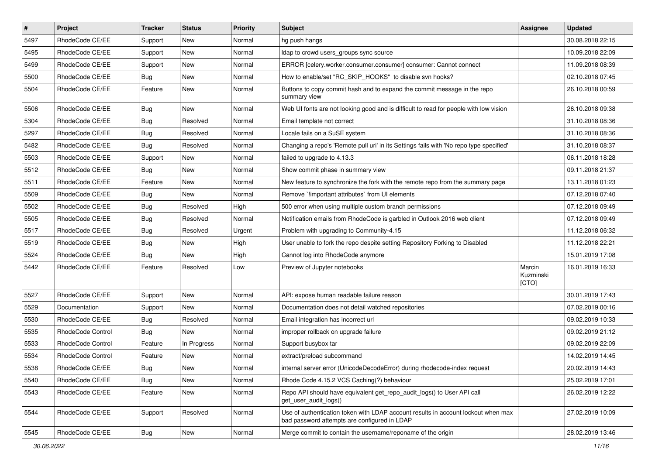| $\sharp$ | Project           | <b>Tracker</b>   | <b>Status</b> | <b>Priority</b> | <b>Subject</b>                                                                                                                    | <b>Assignee</b>              | <b>Updated</b>   |
|----------|-------------------|------------------|---------------|-----------------|-----------------------------------------------------------------------------------------------------------------------------------|------------------------------|------------------|
| 5497     | RhodeCode CE/EE   | Support          | New           | Normal          | hg push hangs                                                                                                                     |                              | 30.08.2018 22:15 |
| 5495     | RhodeCode CE/EE   | Support          | <b>New</b>    | Normal          | Idap to crowd users_groups sync source                                                                                            |                              | 10.09.2018 22:09 |
| 5499     | RhodeCode CE/EE   | Support          | New           | Normal          | ERROR [celery.worker.consumer.consumer] consumer: Cannot connect                                                                  |                              | 11.09.2018 08:39 |
| 5500     | RhodeCode CE/EE   | <b>Bug</b>       | New           | Normal          | How to enable/set "RC_SKIP_HOOKS" to disable svn hooks?                                                                           |                              | 02.10.2018 07:45 |
| 5504     | RhodeCode CE/EE   | Feature          | New           | Normal          | Buttons to copy commit hash and to expand the commit message in the repo<br>summary view                                          |                              | 26.10.2018 00:59 |
| 5506     | RhodeCode CE/EE   | <b>Bug</b>       | <b>New</b>    | Normal          | Web UI fonts are not looking good and is difficult to read for people with low vision                                             |                              | 26.10.2018 09:38 |
| 5304     | RhodeCode CE/EE   | Bug              | Resolved      | Normal          | Email template not correct                                                                                                        |                              | 31.10.2018 08:36 |
| 5297     | RhodeCode CE/EE   | Bug              | Resolved      | Normal          | Locale fails on a SuSE system                                                                                                     |                              | 31.10.2018 08:36 |
| 5482     | RhodeCode CE/EE   | Bug              | Resolved      | Normal          | Changing a repo's 'Remote pull uri' in its Settings fails with 'No repo type specified'                                           |                              | 31.10.2018 08:37 |
| 5503     | RhodeCode CE/EE   | Support          | New           | Normal          | failed to upgrade to 4.13.3                                                                                                       |                              | 06.11.2018 18:28 |
| 5512     | RhodeCode CE/EE   | Bug              | <b>New</b>    | Normal          | Show commit phase in summary view                                                                                                 |                              | 09.11.2018 21:37 |
| 5511     | RhodeCode CE/EE   | Feature          | New           | Normal          | New feature to synchronize the fork with the remote repo from the summary page                                                    |                              | 13.11.2018 01:23 |
| 5509     | RhodeCode CE/EE   | Bug              | New           | Normal          | Remove `!important attributes` from UI elements                                                                                   |                              | 07.12.2018 07:40 |
| 5502     | RhodeCode CE/EE   | Bug              | Resolved      | High            | 500 error when using multiple custom branch permissions                                                                           |                              | 07.12.2018 09:49 |
| 5505     | RhodeCode CE/EE   | Bug              | Resolved      | Normal          | Notification emails from RhodeCode is garbled in Outlook 2016 web client                                                          |                              | 07.12.2018 09:49 |
| 5517     | RhodeCode CE/EE   | Bug              | Resolved      | Urgent          | Problem with upgrading to Community-4.15                                                                                          |                              | 11.12.2018 06:32 |
| 5519     | RhodeCode CE/EE   | Bug              | <b>New</b>    | High            | User unable to fork the repo despite setting Repository Forking to Disabled                                                       |                              | 11.12.2018 22:21 |
| 5524     | RhodeCode CE/EE   | Bug              | New           | High            | Cannot log into RhodeCode anymore                                                                                                 |                              | 15.01.2019 17:08 |
| 5442     | RhodeCode CE/EE   | Feature          | Resolved      | Low             | Preview of Jupyter notebooks                                                                                                      | Marcin<br>Kuzminski<br>[CTO] | 16.01.2019 16:33 |
| 5527     | RhodeCode CE/EE   | Support          | <b>New</b>    | Normal          | API: expose human readable failure reason                                                                                         |                              | 30.01.2019 17:43 |
| 5529     | Documentation     | Support          | New           | Normal          | Documentation does not detail watched repositories                                                                                |                              | 07.02.2019 00:16 |
| 5530     | RhodeCode CE/EE   | Bug              | Resolved      | Normal          | Email integration has incorrect url                                                                                               |                              | 09.02.2019 10:33 |
| 5535     | RhodeCode Control | Bug              | <b>New</b>    | Normal          | improper rollback on upgrade failure                                                                                              |                              | 09.02.2019 21:12 |
| 5533     | RhodeCode Control | Feature          | In Progress   | Normal          | Support busybox tar                                                                                                               |                              | 09.02.2019 22:09 |
| 5534     | RhodeCode Control | Feature          | <b>New</b>    | Normal          | extract/preload subcommand                                                                                                        |                              | 14.02.2019 14:45 |
| 5538     | RhodeCode CE/EE   | <sub>i</sub> Bug | New           | Normal          | internal server error (UnicodeDecodeError) during rhodecode-index request                                                         |                              | 20.02.2019 14:43 |
| 5540     | RhodeCode CE/EE   | Bug              | New           | Normal          | Rhode Code 4.15.2 VCS Caching(?) behaviour                                                                                        |                              | 25.02.2019 17:01 |
| 5543     | RhodeCode CE/EE   | Feature          | New           | Normal          | Repo API should have equivalent get_repo_audit_logs() to User API call<br>get_user_audit_logs()                                   |                              | 26.02.2019 12:22 |
| 5544     | RhodeCode CE/EE   | Support          | Resolved      | Normal          | Use of authentication token with LDAP account results in account lockout when max<br>bad password attempts are configured in LDAP |                              | 27.02.2019 10:09 |
| 5545     | RhodeCode CE/EE   | <b>Bug</b>       | New           | Normal          | Merge commit to contain the username/reponame of the origin                                                                       |                              | 28.02.2019 13:46 |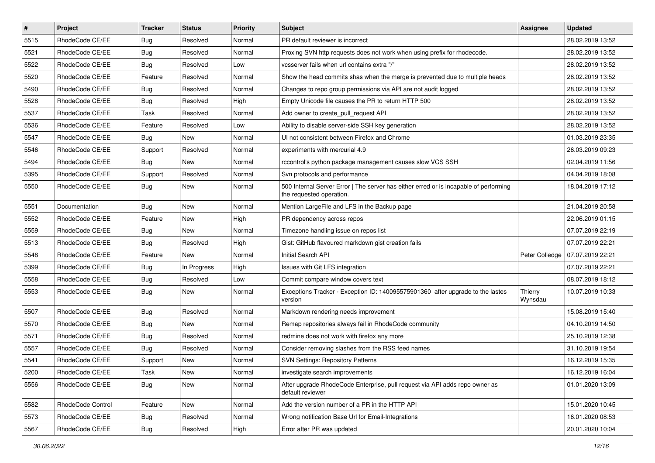| $\sharp$ | Project           | <b>Tracker</b> | <b>Status</b> | Priority | <b>Subject</b>                                                                                                    | <b>Assignee</b>    | <b>Updated</b>   |
|----------|-------------------|----------------|---------------|----------|-------------------------------------------------------------------------------------------------------------------|--------------------|------------------|
| 5515     | RhodeCode CE/EE   | <b>Bug</b>     | Resolved      | Normal   | PR default reviewer is incorrect                                                                                  |                    | 28.02.2019 13:52 |
| 5521     | RhodeCode CE/EE   | Bug            | Resolved      | Normal   | Proxing SVN http requests does not work when using prefix for rhodecode.                                          |                    | 28.02.2019 13:52 |
| 5522     | RhodeCode CE/EE   | <b>Bug</b>     | Resolved      | Low      | vcsserver fails when url contains extra "/"                                                                       |                    | 28.02.2019 13:52 |
| 5520     | RhodeCode CE/EE   | Feature        | Resolved      | Normal   | Show the head commits shas when the merge is prevented due to multiple heads                                      |                    | 28.02.2019 13:52 |
| 5490     | RhodeCode CE/EE   | Bug            | Resolved      | Normal   | Changes to repo group permissions via API are not audit logged                                                    |                    | 28.02.2019 13:52 |
| 5528     | RhodeCode CE/EE   | Bug            | Resolved      | High     | Empty Unicode file causes the PR to return HTTP 500                                                               |                    | 28.02.2019 13:52 |
| 5537     | RhodeCode CE/EE   | Task           | Resolved      | Normal   | Add owner to create pull request API                                                                              |                    | 28.02.2019 13:52 |
| 5536     | RhodeCode CE/EE   | Feature        | Resolved      | Low      | Ability to disable server-side SSH key generation                                                                 |                    | 28.02.2019 13:52 |
| 5547     | RhodeCode CE/EE   | <b>Bug</b>     | New           | Normal   | UI not consistent between Firefox and Chrome                                                                      |                    | 01.03.2019 23:35 |
| 5546     | RhodeCode CE/EE   | Support        | Resolved      | Normal   | experiments with mercurial 4.9                                                                                    |                    | 26.03.2019 09:23 |
| 5494     | RhodeCode CE/EE   | <b>Bug</b>     | <b>New</b>    | Normal   | rccontrol's python package management causes slow VCS SSH                                                         |                    | 02.04.2019 11:56 |
| 5395     | RhodeCode CE/EE   | Support        | Resolved      | Normal   | Svn protocols and performance                                                                                     |                    | 04.04.2019 18:08 |
| 5550     | RhodeCode CE/EE   | Bug            | <b>New</b>    | Normal   | 500 Internal Server Error   The server has either erred or is incapable of performing<br>the requested operation. |                    | 18.04.2019 17:12 |
| 5551     | Documentation     | Bug            | <b>New</b>    | Normal   | Mention LargeFile and LFS in the Backup page                                                                      |                    | 21.04.2019 20:58 |
| 5552     | RhodeCode CE/EE   | Feature        | New           | High     | PR dependency across repos                                                                                        |                    | 22.06.2019 01:15 |
| 5559     | RhodeCode CE/EE   | Bug            | <b>New</b>    | Normal   | Timezone handling issue on repos list                                                                             |                    | 07.07.2019 22:19 |
| 5513     | RhodeCode CE/EE   | Bug            | Resolved      | High     | Gist: GitHub flavoured markdown gist creation fails                                                               |                    | 07.07.2019 22:21 |
| 5548     | RhodeCode CE/EE   | Feature        | <b>New</b>    | Normal   | Initial Search API                                                                                                | Peter Colledge     | 07.07.2019 22:21 |
| 5399     | RhodeCode CE/EE   | Bug            | In Progress   | High     | Issues with Git LFS integration                                                                                   |                    | 07.07.2019 22:21 |
| 5558     | RhodeCode CE/EE   | Bug            | Resolved      | Low      | Commit compare window covers text                                                                                 |                    | 08.07.2019 18:12 |
| 5553     | RhodeCode CE/EE   | Bug            | New           | Normal   | Exceptions Tracker - Exception ID: 140095575901360 after upgrade to the lastes<br>version                         | Thierry<br>Wynsdau | 10.07.2019 10:33 |
| 5507     | RhodeCode CE/EE   | Bug            | Resolved      | Normal   | Markdown rendering needs improvement                                                                              |                    | 15.08.2019 15:40 |
| 5570     | RhodeCode CE/EE   | Bug            | New           | Normal   | Remap repositories always fail in RhodeCode community                                                             |                    | 04.10.2019 14:50 |
| 5571     | RhodeCode CE/EE   | Bug            | Resolved      | Normal   | redmine does not work with firefox any more                                                                       |                    | 25.10.2019 12:38 |
| 5557     | RhodeCode CE/EE   | Bug            | Resolved      | Normal   | Consider removing slashes from the RSS feed names                                                                 |                    | 31.10.2019 19:54 |
| 5541     | RhodeCode CE/EE   | Support        | New           | Normal   | <b>SVN Settings: Repository Patterns</b>                                                                          |                    | 16.12.2019 15:35 |
| 5200     | RhodeCode CE/EE   | Task           | New           | Normal   | investigate search improvements                                                                                   |                    | 16.12.2019 16:04 |
| 5556     | RhodeCode CE/EE   | Bug            | New           | Normal   | After upgrade RhodeCode Enterprise, pull request via API adds repo owner as<br>default reviewer                   |                    | 01.01.2020 13:09 |
| 5582     | RhodeCode Control | Feature        | New           | Normal   | Add the version number of a PR in the HTTP API                                                                    |                    | 15.01.2020 10:45 |
| 5573     | RhodeCode CE/EE   | Bug            | Resolved      | Normal   | Wrong notification Base Url for Email-Integrations                                                                |                    | 16.01.2020 08:53 |
| 5567     | RhodeCode CE/EE   | Bug            | Resolved      | High     | Error after PR was updated                                                                                        |                    | 20.01.2020 10:04 |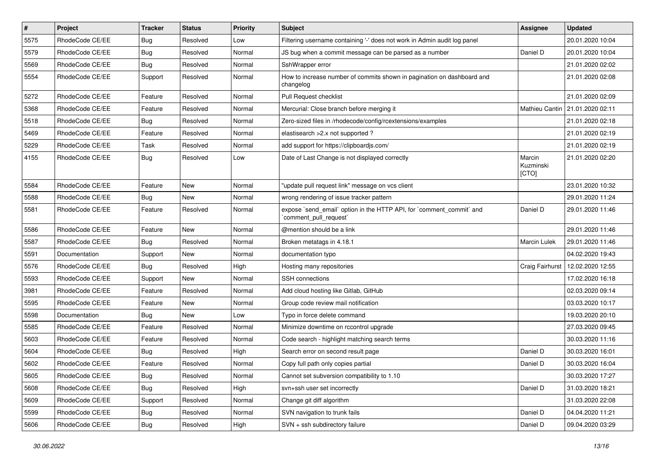| $\vert$ # | Project         | <b>Tracker</b> | <b>Status</b> | Priority | Subject                                                                                        | <b>Assignee</b>              | <b>Updated</b>                    |
|-----------|-----------------|----------------|---------------|----------|------------------------------------------------------------------------------------------------|------------------------------|-----------------------------------|
| 5575      | RhodeCode CE/EE | Bug            | Resolved      | Low      | Filtering username containing '-' does not work in Admin audit log panel                       |                              | 20.01.2020 10:04                  |
| 5579      | RhodeCode CE/EE | Bug            | Resolved      | Normal   | JS bug when a commit message can be parsed as a number                                         | Daniel D                     | 20.01.2020 10:04                  |
| 5569      | RhodeCode CE/EE | Bug            | Resolved      | Normal   | SshWrapper error                                                                               |                              | 21.01.2020 02:02                  |
| 5554      | RhodeCode CE/EE | Support        | Resolved      | Normal   | How to increase number of commits shown in pagination on dashboard and<br>changelog            |                              | 21.01.2020 02:08                  |
| 5272      | RhodeCode CE/EE | Feature        | Resolved      | Normal   | Pull Request checklist                                                                         |                              | 21.01.2020 02:09                  |
| 5368      | RhodeCode CE/EE | Feature        | Resolved      | Normal   | Mercurial: Close branch before merging it                                                      |                              | Mathieu Cantin   21.01.2020 02:11 |
| 5518      | RhodeCode CE/EE | Bug            | Resolved      | Normal   | Zero-sized files in /rhodecode/config/rcextensions/examples                                    |                              | 21.01.2020 02:18                  |
| 5469      | RhodeCode CE/EE | Feature        | Resolved      | Normal   | elastisearch > 2.x not supported?                                                              |                              | 21.01.2020 02:19                  |
| 5229      | RhodeCode CE/EE | Task           | Resolved      | Normal   | add support for https://clipboardjs.com/                                                       |                              | 21.01.2020 02:19                  |
| 4155      | RhodeCode CE/EE | Bug            | Resolved      | Low      | Date of Last Change is not displayed correctly                                                 | Marcin<br>Kuzminski<br>[CTO] | 21.01.2020 02:20                  |
| 5584      | RhodeCode CE/EE | Feature        | <b>New</b>    | Normal   | "update pull request link" message on vcs client                                               |                              | 23.01.2020 10:32                  |
| 5588      | RhodeCode CE/EE | Bug            | <b>New</b>    | Normal   | wrong rendering of issue tracker pattern                                                       |                              | 29.01.2020 11:24                  |
| 5581      | RhodeCode CE/EE | Feature        | Resolved      | Normal   | expose `send_email` option in the HTTP API, for `comment_commit` and<br>`comment_pull_request` | Daniel D                     | 29.01.2020 11:46                  |
| 5586      | RhodeCode CE/EE | Feature        | <b>New</b>    | Normal   | @mention should be a link                                                                      |                              | 29.01.2020 11:46                  |
| 5587      | RhodeCode CE/EE | Bug            | Resolved      | Normal   | Broken metatags in 4.18.1                                                                      | <b>Marcin Lulek</b>          | 29.01.2020 11:46                  |
| 5591      | Documentation   | Support        | <b>New</b>    | Normal   | documentation typo                                                                             |                              | 04.02.2020 19:43                  |
| 5576      | RhodeCode CE/EE | Bug            | Resolved      | High     | Hosting many repositories                                                                      | Craig Fairhurst              | 12.02.2020 12:55                  |
| 5593      | RhodeCode CE/EE | Support        | New           | Normal   | SSH connections                                                                                |                              | 17.02.2020 16:18                  |
| 3981      | RhodeCode CE/EE | Feature        | Resolved      | Normal   | Add cloud hosting like Gitlab, GitHub                                                          |                              | 02.03.2020 09:14                  |
| 5595      | RhodeCode CE/EE | Feature        | New           | Normal   | Group code review mail notification                                                            |                              | 03.03.2020 10:17                  |
| 5598      | Documentation   | Bug            | <b>New</b>    | Low      | Typo in force delete command                                                                   |                              | 19.03.2020 20:10                  |
| 5585      | RhodeCode CE/EE | Feature        | Resolved      | Normal   | Minimize downtime on rccontrol upgrade                                                         |                              | 27.03.2020 09:45                  |
| 5603      | RhodeCode CE/EE | Feature        | Resolved      | Normal   | Code search - highlight matching search terms                                                  |                              | 30.03.2020 11:16                  |
| 5604      | RhodeCode CE/EE | Bug            | Resolved      | High     | Search error on second result page                                                             | Daniel D                     | 30.03.2020 16:01                  |
| 5602      | RhodeCode CE/EE | Feature        | Resolved      | Normal   | Copy full path only copies partial                                                             | Daniel D                     | 30.03.2020 16:04                  |
| 5605      | RhodeCode CE/EE | Bug            | Resolved      | Normal   | Cannot set subversion compatibility to 1.10                                                    |                              | 30.03.2020 17:27                  |
| 5608      | RhodeCode CE/EE | Bug            | Resolved      | High     | svn+ssh user set incorrectly                                                                   | Daniel D                     | 31.03.2020 18:21                  |
| 5609      | RhodeCode CE/EE | Support        | Resolved      | Normal   | Change git diff algorithm                                                                      |                              | 31.03.2020 22:08                  |
| 5599      | RhodeCode CE/EE | <b>Bug</b>     | Resolved      | Normal   | SVN navigation to trunk fails                                                                  | Daniel D                     | 04.04.2020 11:21                  |
| 5606      | RhodeCode CE/EE | Bug            | Resolved      | High     | SVN + ssh subdirectory failure                                                                 | Daniel D                     | 09.04.2020 03:29                  |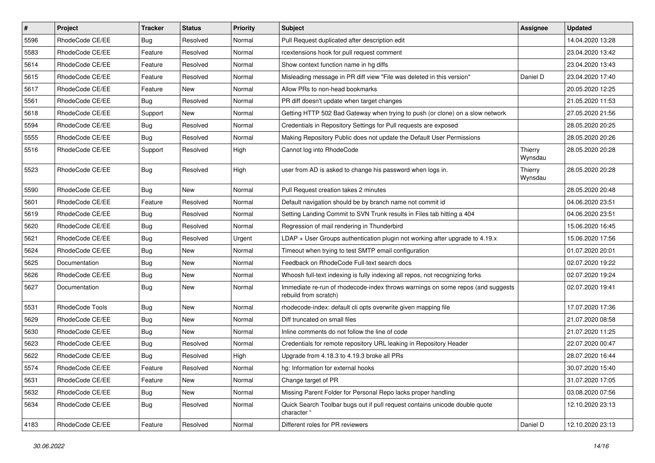| $\vert$ # | Project         | Tracker    | <b>Status</b> | <b>Priority</b> | <b>Subject</b>                                                                                           | Assignee           | <b>Updated</b>   |
|-----------|-----------------|------------|---------------|-----------------|----------------------------------------------------------------------------------------------------------|--------------------|------------------|
| 5596      | RhodeCode CE/EE | Bug        | Resolved      | Normal          | Pull Request duplicated after description edit                                                           |                    | 14.04.2020 13:28 |
| 5583      | RhodeCode CE/EE | Feature    | Resolved      | Normal          | rcextensions hook for pull request comment                                                               |                    | 23.04.2020 13:42 |
| 5614      | RhodeCode CE/EE | Feature    | Resolved      | Normal          | Show context function name in hg diffs                                                                   |                    | 23.04.2020 13:43 |
| 5615      | RhodeCode CE/EE | Feature    | Resolved      | Normal          | Misleading message in PR diff view "File was deleted in this version"                                    | Daniel D           | 23.04.2020 17:40 |
| 5617      | RhodeCode CE/EE | Feature    | New           | Normal          | Allow PRs to non-head bookmarks                                                                          |                    | 20.05.2020 12:25 |
| 5561      | RhodeCode CE/EE | <b>Bug</b> | Resolved      | Normal          | PR diff doesn't update when target changes                                                               |                    | 21.05.2020 11:53 |
| 5618      | RhodeCode CE/EE | Support    | New           | Normal          | Getting HTTP 502 Bad Gateway when trying to push (or clone) on a slow network                            |                    | 27.05.2020 21:56 |
| 5594      | RhodeCode CE/EE | <b>Bug</b> | Resolved      | Normal          | Credentials in Repository Settings for Pull requests are exposed                                         |                    | 28.05.2020 20:25 |
| 5555      | RhodeCode CE/EE | Bug        | Resolved      | Normal          | Making Repository Public does not update the Default User Permissions                                    |                    | 28.05.2020 20:26 |
| 5516      | RhodeCode CE/EE | Support    | Resolved      | High            | Cannot log into RhodeCode                                                                                | Thierry<br>Wynsdau | 28.05.2020 20:28 |
| 5523      | RhodeCode CE/EE | Bug        | Resolved      | High            | user from AD is asked to change his password when logs in.                                               | Thierry<br>Wynsdau | 28.05.2020 20:28 |
| 5590      | RhodeCode CE/EE | <b>Bug</b> | New           | Normal          | Pull Request creation takes 2 minutes                                                                    |                    | 28.05.2020 20:48 |
| 5601      | RhodeCode CE/EE | Feature    | Resolved      | Normal          | Default navigation should be by branch name not commit id                                                |                    | 04.06.2020 23:51 |
| 5619      | RhodeCode CE/EE | <b>Bug</b> | Resolved      | Normal          | Setting Landing Commit to SVN Trunk results in Files tab hitting a 404                                   |                    | 04.06.2020 23:51 |
| 5620      | RhodeCode CE/EE | <b>Bug</b> | Resolved      | Normal          | Regression of mail rendering in Thunderbird                                                              |                    | 15.06.2020 16:45 |
| 5621      | RhodeCode CE/EE | Bug        | Resolved      | Urgent          | LDAP + User Groups authentication plugin not working after upgrade to $4.19.x$                           |                    | 15.06.2020 17:56 |
| 5624      | RhodeCode CE/EE | <b>Bug</b> | New           | Normal          | Timeout when trying to test SMTP email configuration                                                     |                    | 01.07.2020 20:01 |
| 5625      | Documentation   | <b>Bug</b> | New           | Normal          | Feedback on RhodeCode Full-text search docs                                                              |                    | 02.07.2020 19:22 |
| 5626      | RhodeCode CE/EE | <b>Bug</b> | New           | Normal          | Whoosh full-text indexing is fully indexing all repos, not recognizing forks                             |                    | 02.07.2020 19:24 |
| 5627      | Documentation   | Bug        | New           | Normal          | Immediate re-run of rhodecode-index throws warnings on some repos (and suggests<br>rebuild from scratch) |                    | 02.07.2020 19:41 |
| 5531      | RhodeCode Tools | Bug        | New           | Normal          | rhodecode-index: default cli opts overwrite given mapping file                                           |                    | 17.07.2020 17:36 |
| 5629      | RhodeCode CE/EE | <b>Bug</b> | New           | Normal          | Diff truncated on small files                                                                            |                    | 21.07.2020 08:58 |
| 5630      | RhodeCode CE/EE | Bug        | <b>New</b>    | Normal          | Inline comments do not follow the line of code                                                           |                    | 21.07.2020 11:25 |
| 5623      | RhodeCode CE/EE | <b>Bug</b> | Resolved      | Normal          | Credentials for remote repository URL leaking in Repository Header                                       |                    | 22.07.2020 00:47 |
| 5622      | RhodeCode CE/EE | Bug        | Resolved      | High            | Upgrade from 4.18.3 to 4.19.3 broke all PRs                                                              |                    | 28.07.2020 16:44 |
| 5574      | RhodeCode CE/EE | Feature    | Resolved      | Normal          | hg: Information for external hooks                                                                       |                    | 30.07.2020 15:40 |
| 5631      | RhodeCode CE/EE | Feature    | New           | Normal          | Change target of PR                                                                                      |                    | 31.07.2020 17:05 |
| 5632      | RhodeCode CE/EE | Bug        | New           | Normal          | Missing Parent Folder for Personal Repo lacks proper handling                                            |                    | 03.08.2020 07:56 |
| 5634      | RhodeCode CE/EE | <b>Bug</b> | Resolved      | Normal          | Quick Search Toolbar bugs out if pull request contains unicode double quote<br>character "               |                    | 12.10.2020 23:13 |
| 4183      | RhodeCode CE/EE | Feature    | Resolved      | Normal          | Different roles for PR reviewers                                                                         | Daniel D           | 12.10.2020 23:13 |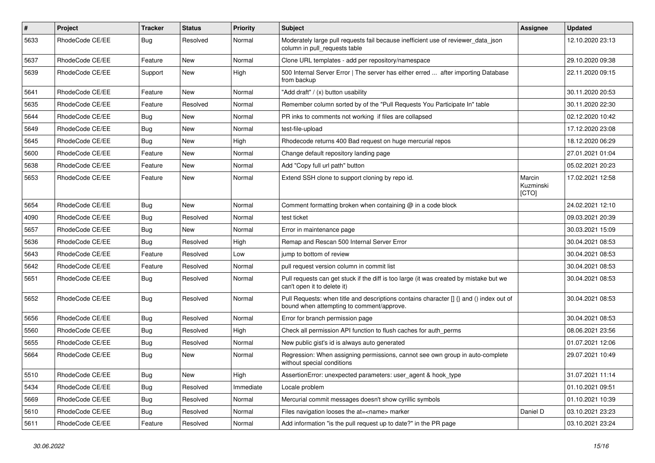| $\sharp$ | Project         | Tracker    | <b>Status</b> | Priority  | Subject                                                                                                                              | Assignee                     | <b>Updated</b>   |
|----------|-----------------|------------|---------------|-----------|--------------------------------------------------------------------------------------------------------------------------------------|------------------------------|------------------|
| 5633     | RhodeCode CE/EE | <b>Bug</b> | Resolved      | Normal    | Moderately large pull requests fail because inefficient use of reviewer_data_json<br>column in pull requests table                   |                              | 12.10.2020 23:13 |
| 5637     | RhodeCode CE/EE | Feature    | New           | Normal    | Clone URL templates - add per repository/namespace                                                                                   |                              | 29.10.2020 09:38 |
| 5639     | RhodeCode CE/EE | Support    | New           | High      | 500 Internal Server Error   The server has either erred  after importing Database<br>from backup                                     |                              | 22.11.2020 09:15 |
| 5641     | RhodeCode CE/EE | Feature    | <b>New</b>    | Normal    | "Add draft" / (x) button usability                                                                                                   |                              | 30.11.2020 20:53 |
| 5635     | RhodeCode CE/EE | Feature    | Resolved      | Normal    | Remember column sorted by of the "Pull Requests You Participate In" table                                                            |                              | 30.11.2020 22:30 |
| 5644     | RhodeCode CE/EE | Bug        | New           | Normal    | PR inks to comments not working if files are collapsed                                                                               |                              | 02.12.2020 10:42 |
| 5649     | RhodeCode CE/EE | <b>Bug</b> | New           | Normal    | test-file-upload                                                                                                                     |                              | 17.12.2020 23:08 |
| 5645     | RhodeCode CE/EE | <b>Bug</b> | <b>New</b>    | High      | Rhodecode returns 400 Bad request on huge mercurial repos                                                                            |                              | 18.12.2020 06:29 |
| 5600     | RhodeCode CE/EE | Feature    | New           | Normal    | Change default repository landing page                                                                                               |                              | 27.01.2021 01:04 |
| 5638     | RhodeCode CE/EE | Feature    | New           | Normal    | Add "Copy full url path" button                                                                                                      |                              | 05.02.2021 20:23 |
| 5653     | RhodeCode CE/EE | Feature    | New           | Normal    | Extend SSH clone to support cloning by repo id.                                                                                      | Marcin<br>Kuzminski<br>[CTO] | 17.02.2021 12:58 |
| 5654     | RhodeCode CE/EE | Bug        | New           | Normal    | Comment formatting broken when containing @ in a code block                                                                          |                              | 24.02.2021 12:10 |
| 4090     | RhodeCode CE/EE | <b>Bug</b> | Resolved      | Normal    | test ticket                                                                                                                          |                              | 09.03.2021 20:39 |
| 5657     | RhodeCode CE/EE | <b>Bug</b> | New           | Normal    | Error in maintenance page                                                                                                            |                              | 30.03.2021 15:09 |
| 5636     | RhodeCode CE/EE | <b>Bug</b> | Resolved      | High      | Remap and Rescan 500 Internal Server Error                                                                                           |                              | 30.04.2021 08:53 |
| 5643     | RhodeCode CE/EE | Feature    | Resolved      | Low       | jump to bottom of review                                                                                                             |                              | 30.04.2021 08:53 |
| 5642     | RhodeCode CE/EE | Feature    | Resolved      | Normal    | pull request version column in commit list                                                                                           |                              | 30.04.2021 08:53 |
| 5651     | RhodeCode CE/EE | Bug        | Resolved      | Normal    | Pull requests can get stuck if the diff is too large (it was created by mistake but we<br>can't open it to delete it)                |                              | 30.04.2021 08:53 |
| 5652     | RhodeCode CE/EE | Bug        | Resolved      | Normal    | Pull Requests: when title and descriptions contains character [] {} and () index out of<br>bound when attempting to comment/approve. |                              | 30.04.2021 08:53 |
| 5656     | RhodeCode CE/EE | <b>Bug</b> | Resolved      | Normal    | Error for branch permission page                                                                                                     |                              | 30.04.2021 08:53 |
| 5560     | RhodeCode CE/EE | <b>Bug</b> | Resolved      | High      | Check all permission API function to flush caches for auth perms                                                                     |                              | 08.06.2021 23:56 |
| 5655     | RhodeCode CE/EE | Bug        | Resolved      | Normal    | New public gist's id is always auto generated                                                                                        |                              | 01.07.2021 12:06 |
| 5664     | RhodeCode CE/EE | <b>Bug</b> | New           | Normal    | Regression: When assigning permissions, cannot see own group in auto-complete<br>without special conditions                          |                              | 29.07.2021 10:49 |
| 5510     | RhodeCode CE/EE | Bug        | New           | High      | AssertionError: unexpected parameters: user_agent & hook_type                                                                        |                              | 31.07.2021 11:14 |
| 5434     | RhodeCode CE/EE | <b>Bug</b> | Resolved      | Immediate | Locale problem                                                                                                                       |                              | 01.10.2021 09:51 |
| 5669     | RhodeCode CE/EE | Bug        | Resolved      | Normal    | Mercurial commit messages doesn't show cyrillic symbols                                                                              |                              | 01.10.2021 10:39 |
| 5610     | RhodeCode CE/EE | Bug        | Resolved      | Normal    | Files navigation looses the at= <name> marker</name>                                                                                 | Daniel D                     | 03.10.2021 23:23 |
| 5611     | RhodeCode CE/EE | Feature    | Resolved      | Normal    | Add information "is the pull request up to date?" in the PR page                                                                     |                              | 03.10.2021 23:24 |